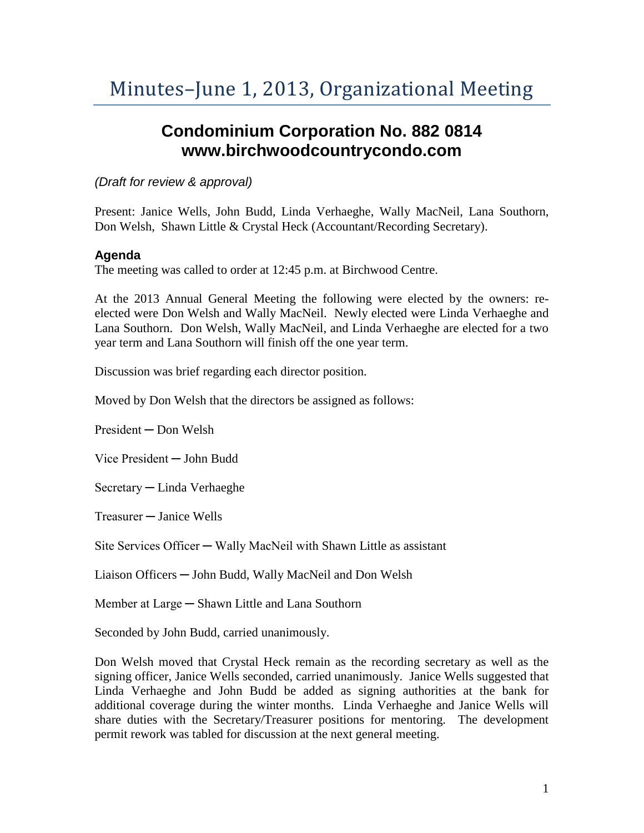## **Condominium Corporation No. 882 0814 www.birchwoodcountrycondo.com**

*(Draft for review & approval)*

Present: Janice Wells, John Budd, Linda Verhaeghe, Wally MacNeil, Lana Southorn, Don Welsh, Shawn Little & Crystal Heck (Accountant/Recording Secretary).

## **Agenda**

The meeting was called to order at 12:45 p.m. at Birchwood Centre.

At the 2013 Annual General Meeting the following were elected by the owners: reelected were Don Welsh and Wally MacNeil. Newly elected were Linda Verhaeghe and Lana Southorn. Don Welsh, Wally MacNeil, and Linda Verhaeghe are elected for a two year term and Lana Southorn will finish off the one year term.

Discussion was brief regarding each director position.

Moved by Don Welsh that the directors be assigned as follows:

President ─ Don Welsh

Vice President ─ John Budd

Secretary ─ Linda Verhaeghe

Treasurer ─ Janice Wells

Site Services Officer — Wally MacNeil with Shawn Little as assistant

Liaison Officers ─ John Budd, Wally MacNeil and Don Welsh

Member at Large — Shawn Little and Lana Southorn

Seconded by John Budd, carried unanimously.

Don Welsh moved that Crystal Heck remain as the recording secretary as well as the signing officer, Janice Wells seconded, carried unanimously. Janice Wells suggested that Linda Verhaeghe and John Budd be added as signing authorities at the bank for additional coverage during the winter months. Linda Verhaeghe and Janice Wells will share duties with the Secretary/Treasurer positions for mentoring. The development permit rework was tabled for discussion at the next general meeting.